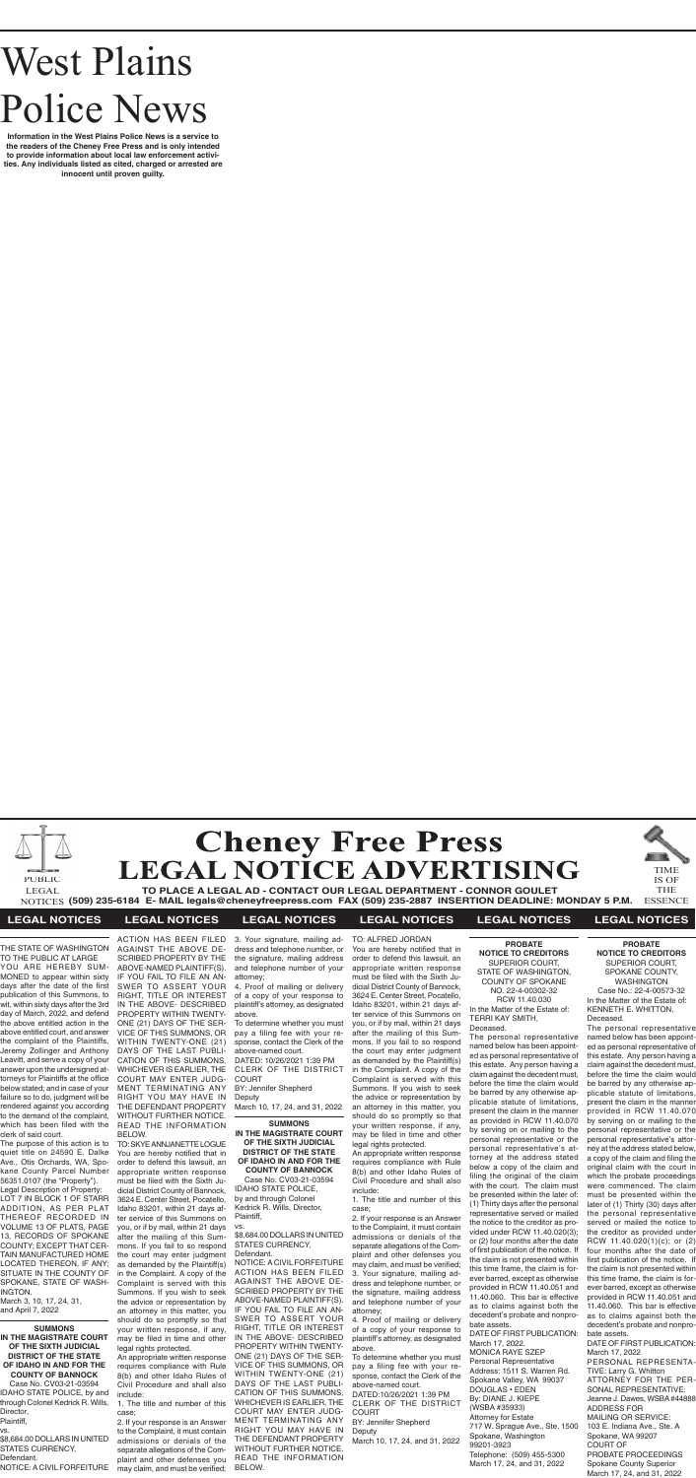# West Plains Police News

**Information in the West Plains Police News is a service to the readers of the Cheney Free Press and is only intended to provide information about local law enforcement activities. Any individuals listed as cited, charged or arrested are innocent until proven guilty.**





**TO PLACE A LEGAL AD - CONTACT OUR LEGAL DEPARTMENT - CONNOR GOULET (509) 235-6184 E- MAIL legals@cheneyfreepress.com FAX (509) 235-2887 INSERTION DEADLINE: MONDAY 5 P.M.** NOTICES ESSENCE LEGAL

TIME IS OF THE

### PUBLIC

#### **LEGAL NOTICES LEGAL NOTICES LEGAL NOTICES LEGAL NOTICES LEGAL NOTICES LEGAL NOTICES**

THE STATE OF WASHINGTON TO THE PUBLIC AT LARGE

YOU ARE HEREBY SUM-MONED to appear within sixty days after the date of the first publication of this Summons, to wit, within sixty days after the 3rd day of March, 2022, and defend the above entitled action in the above entitled court, and answer the complaint of the Plaintiffs, Jeremy Zollinger and Anthony Leavitt, and serve a copy of your answer upon the undersigned attorneys for Plaintiffs at the office below stated; and in case of your failure so to do, judgment will be rendered against you according to the demand of the complaint, which has been filed with the clerk of said court.

The purpose of this action is to quiet title on 24590 E. Dalke Ave., Otis Orchards, WA, Spokane County Parcel Number 56351.0107 (the "Property").

Legal Description of Property: LOT 7 IN BLOCK 1 OF STARR ADDITION, AS PER PLAT THEREOF RECORDED IN VOLUME 13 OF PLATS, PAGE 13, RECORDS OF SPOKANE COUNTY; EXCEPT THAT CER-TAIN MANUFACTURED HOME LOCATED THEREON, IF ANY; SITUATE IN THE COUNTY OF SPOKANE, STATE OF WASH-INGTON.

March 3, 10, 17, 24, 31, and April 7, 2022

#### **SUMMONS**

**IN THE MAGISTRATE COURT OF THE SIXTH JUDICIAL DISTRICT OF THE STATE OF IDAHO IN AND FOR THE COUNTY OF BANNOCK** Case No. CV03-21-03594 IDAHO STATE POLICE, by and through Colonel Kedrick R. Wills, Director, Plaintiff, vs.

\$8,684.00 DOLLARS IN UNITED STATES CURRENCY, Defendant. NOTICE: A CIVIL FORFEITURE BY: Jennifer Shepherd **Deputy** 

ACTION HAS BEEN FILED AGAINST THE ABOVE DE-SCRIBED PROPERTY BY THE ABOVE-NAMED PLAINTIFF(S). IF YOU FAIL TO FILE AN AN-SWER TO ASSERT YOUR RIGHT, TITLE OR INTEREST IN THE ABOVE- DESCRIBED PROPERTY WITHIN TWENTY-ONE (21) DAYS OF THE SER-VICE OF THIS SUMMONS, OR WITHIN TWENTY-ONE (21) DAYS OF THE LAST PUBLI-CATION OF THIS SUMMONS, WHICHEVER IS EARLIER, THE COURT MAY ENTER JUDG-MENT TERMINATING ANY RIGHT YOU MAY HAVE IN THE DEFENDANT PROPERTY WITHOUT FURTHER NOTICE. READ THE INFORMATION

BELOW.

TO: SKYE ANNJANETTE LOGUE You are hereby notified that in order to defend this lawsuit, an appropriate written response must be filed with the Sixth Judicial District County of Bannock, 3624 E. Center Street, Pocatello, Idaho 83201, within 21 days after service of this Summons on you, or if by mail, within 21 days after the mailing of this Summons. If you fail to so respond the court may enter judgment as demanded by the Plaintiff(s) in the Complaint. A copy of the Complaint is served with this Summons. If you wish to seek the advice or representation by an attorney in this matter, you should do so promptly so that your written response, if any, may be filed in time and other legal rights protected.

An appropriate written response requires compliance with Rule 8(b) and other Idaho Rules of Civil Procedure and shall also include:

1. The title and number of this case;

3. Your signature, mailing address and telephone number, or the signature, mailing address and telephone number of your attorney;

4. Proof of mailing or delivery of a copy of your response to plaintiff's attorney, as designated above.

To determine whether you must pay a filing fee with your response, contact the Clerk of the above-named court.

DATED: 10/26/2021 1:39 PM CLERK OF THE DISTRICT COURT

March 10, 17, 24, and 31, 2022

#### **SUMMONS IN THE MAGISTRATE COURT OF THE SIXTH JUDICIAL DISTRICT OF THE STATE OF IDAHO IN AND FOR THE COUNTY OF BANNOCK**

2. If your response is an Answer to the Complaint, it must contain admissions or denials of the separate allegations of the Complaint and other defenses you may claim, and must be verified; BELOW.

Case No. CV03-21-03594 IDAHO STATE POLICE, by and through Colonel Kedrick R. Wills, Director, Plaintiff,

vs.

#### \$8,684.00 DOLLARS IN UNITED STATES CURRENCY, Defendant.

NOTICE: A CIVIL FORFEITURE ACTION HAS BEEN FILED AGAINST THE ABOVE DE-SCRIBED PROPERTY BY THE ABOVE-NAMED PLAINTIFF(S). IF YOU FAIL TO FILE AN AN-SWER TO ASSERT YOUR RIGHT, TITLE OR INTEREST IN THE ABOVE- DESCRIBED PROPERTY WITHIN TWENTY-ONE (21) DAYS OF THE SER-VICE OF THIS SUMMONS, OR WITHIN TWENTY-ONE (21) DAYS OF THE LAST PUBLI-CATION OF THIS SUMMONS, WHICHEVER IS EARLIER, THE COURT MAY ENTER JUDG-MENT TERMINATING ANY RIGHT YOU MAY HAVE IN THE DEFENDANT PROPERTY WITHOUT FURTHER NOTICE. READ THE INFORMATION

TO: ALFRED JORDAN You are hereby notified that in order to defend this lawsuit, an appropriate written response must be filed with the Sixth Judicial District County of Bannock, 3624 E. Center Street, Pocatello, Idaho 83201, within 21 days after service of this Summons on you, or if by mail, within 21 days after the mailing of this Summons. If you fail to so respond the court may enter judgment as demanded by the Plaintiff(s) in the Complaint. A copy of the Complaint is served with this Summons. If you wish to seek the advice or representation by an attorney in this matter, you should do so promptly so that your written response, if any, may be filed in time and other legal rights protected.

An appropriate written response requires compliance with Rule 8(b) and other Idaho Rules of Civil Procedure and shall also include:

1. The title and number of this case;

2. If your response is an Answer to the Complaint, it must contain admissions or denials of the separate allegations of the Complaint and other defenses you may claim, and must be verified; 3. Your signature, mailing address and telephone number, or the signature, mailing address and telephone number of your attorney;

4. Proof of mailing or delivery of a copy of your response to plaintiff's attorney, as designated above.

To determine whether you must pay a filing fee with your response, contact the Clerk of the above-named court. DATED:10/26/2021 1:39 PM CLERK OF THE DISTRICT COURT BY: Jennifer Shepherd

Deputy March 10, 17, 24, and 31, 2022

**PROBATE NOTICE TO CREDITORS** SUPERIOR COURT, SPOKANE COUNTY, WASHINGTON Case No.: 22-4-00573-32 In the Matter of the Estate of: KENNETH E. WHITTON, Deceased.

The personal representative named below has been appointed as personal representative of this estate. Any person having a claim against the decedent must, before the time the claim would be barred by any otherwise applicable statute of limitations, present the claim in the manner provided in RCW 11.40.070 by serving on or mailing to the personal representative or the personal representative's attorney at the address stated below, a copy of the claim and filing the original claim with the court in which the probate proceedings were commenced. The claim must be presented within the later of (1) Thirty (30) days after the personal representative served or mailed the notice to the creditor as provided under RCW 11.40.020(1)(c); or (2) four months after the date of first publication of the notice. If the claim is not presented within this time frame, the claim is forever barred, except as otherwise provided in RCW 11.40.051 and 11.40.060. This bar is effective as to claims against both the decedent's probate and nonprobate assets.

DATE OF FIRST PUBLICATION: March 17, 2022 PERSONAL REPRESENTA-TIVE: Larry G. Whitton ATTORNEY FOR THE PER-SONAL REPRESENTATIVE: Jeanne J. Dawes, WSBA #44888 ADDRESS FOR MAILING OR SERVICE: 103 E. Indiana Ave., Ste. A Spokane, WA 99207 COURT OF PROBATE PROCEEDINGS Spokane County Superior March 17, 24, and 31, 2022

**PROBATE NOTICE TO CREDITORS** SUPERIOR COURT, STATE OF WASHINGTON, COUNTY OF SPOKANE NO. 22-4-00302-32 RCW 11.40.030 In the Matter of the Estate of: TERRI KAY SMITH, Deceased.

The personal representative named below has been appointed as personal representative of this estate. Any person having a claim against the decedent must, before the time the claim would be barred by any otherwise applicable statute of limitations, present the claim in the manner as provided in RCW 11.40.070 by serving on or mailing to the personal representative or the personal representative's attorney at the address stated below a copy of the claim and filing the original of the claim with the court. The claim must be presented within the later of: (1) Thirty days after the personal representative served or mailed the notice to the creditor as provided under RCW 11.40.020(3); or (2) four months after the date of first publication of the notice. If the claim is not presented within this time frame, the claim is forever barred, except as otherwise provided in RCW 11.40.051 and 11.40.060. This bar is effective as to claims against both the decedent's probate and nonprobate assets. DATE OF FIRST PUBLICATION:

March 17, 2022. MONICA RAYE SZEP Personal Representative Address: 1511 S. Warren Rd. Spokane Valley, WA 99037 DOUGLAS • EDEN By: DIANE J. KIEPE (WSBA #35933) Attorney for Estate 717 W. Sprague Ave., Ste. 1500 Spokane, Washington 99201-3923 Telephone: (509) 455-5300 March 17, 24, and 31, 2022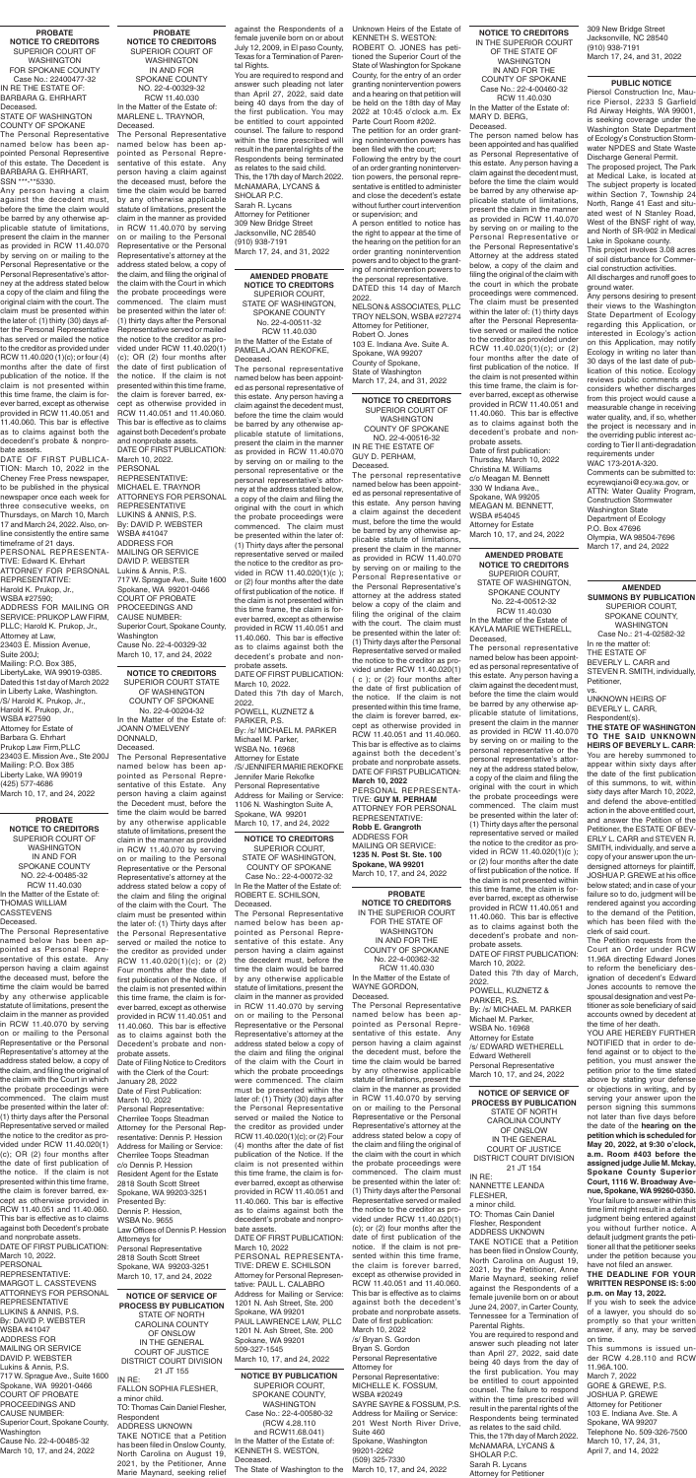**PROBATE NOTICE TO CREDITORS** IN THE SUPERIOR COURT FOR THE STATE OF WASHINGTON IN AND FOR THE COUNTY OF SPOKANE No. 22-4-00362-32 RCW 11.40.030 In the Matter of the Estate of WAYNE GORDON,

Deceased.

The Personal Representative named below has been appointed as Personal Representative of this estate. Any person having a claim against the decedent must, before the time the claim would be barred by any otherwise applicable statute of limitations, present the claim in the manner as provided in RCW 11.40.070 by serving on or mailing to the Personal Representative or the Personal Representative's attorney at the address stated below a copy of the claim and filing the original of the claim with the court in which the probate proceedings were commenced. The claim must be presented within the later of: (1) Thirty days after the Personal Representative served or mailed the notice to the creditor as provided under RCW 11.40.020(1) (c); or (2) four months after the date of first publication of the notice. If the claim is not presented within this time frame, the claim is forever barred, except as otherwise provided in RCW 11.40.051 and 11.40.060. This bar is effective as to claims against both the decedent's probate and nonprobate assets. Date of first publication:

March 10, 2022 /s/ Bryan S. Gordon Bryan S. Gordon Personal Representative Attorney for Personal Representative: MICHELLE K. FOSSUM, WSBA #20249 SAYRE SAYRE & FOSSUM, P.S. Address for Mailing or Service: 201 West North River Drive, Suite 460 Spokane, Washington 99201-2262 (509) 325-7330 March 10, 17, and 24, 2022

WASHINGTON COUNTY OF SPOKANE NO. 22-4-00516-32 IN RE THE ESTATE OF

GUY D. PERHAM, Deceased. The personal representative

named below has been appointed as personal representative of this estate. Any person having a claim against the decedent must, before the time the would be barred by any otherwise applicable statute of limitations, present the claim in the manner as provided in RCW 11.40.070 by serving on or mailing to the Personal Representative or the Personal Representative's attorney at the address stated below a copy of the claim and filing the original of the claim with the court. The claim must be presented within the later of: (1) Thirty days after the Personal Representative served or mailed the notice to the creditor as provided under RCW 11.40.020(1) ( c ); or (2) four months after the date of first publication of the notice. If the claim is not presented within this time frame, the claim is forever barred, except as otherwise provided in RCW 11.40.051 and 11.40.060. This bar is effective as to claims against both the decedent's probate and nonprobate assets. DATE OF FIRST PUBLICATION: **March 10, 2022**

Deceased. STATE OF WASHINGTON COUNTY OF SPOKANE The Personal Representative named below has been appointed Personal Representive of this estate. The Decedent is BARBARA G. EHRHART, SSN \*\*\* \*\*5330

> PERSONAL REPRESENTA-TIVE: **GUY M. PERHAM** ATTORNEY FOR PERSONAL REPRESENTATIVE: **Robb E. Grangroth** ADDRESS FOR MAILING OR SERVICE: **1235 N. Post St. Ste. 100 Spokane, WA 99201**

March 10, 17, and 24, 2022

**AMENDED PROBATE NOTICE TO CREDITORS** SUPERIOR COURT, STATE OF WASHINGTON, SPOKANE COUNTY No. 22-4-00511-32 RCW 11.40.030 In the Matter of the Estate of PAMELA JOAN REKOFKE, Deceased.

The personal representative named below has been appointed as personal representative of this estate. Any person having a claim against the decedent must, before the time the claim would be barred by any otherwise applicable statute of limitations, present the claim in the manner as provided in RCW 11.40.070 by serving on or mailing to the personal representative or the personal representative's attorney at the address stated below, a copy of the claim and filing the original with the court in which the probate proceedings were commenced. The claim must be presented within the later of: (1) Thirty days after the personal representative served or mailed the notice to the creditor as provided in RCW 11.40.020(1)(c ); or (2) four months after the date of first publication of the notice. If the claim is not presented within this time frame, the claim is forever barred, except as otherwise provided in RCW 11.40.051 and 11.40.060. This bar is effective as to claims against both the decedent's probate and nonprobate assets.

DATE OF FIRST PUBLICATION: March 10, 2022. Dated this 7th day of March, 2022. POWELL, KUZNETZ & PARKER, P.S. By: /s/ MICHAEL M. PARKER Michael M. Parker, WSBA No. 16968 Attorney for Estate /S/ JENNIFER MARIE REKOFKE Jennifer Marie Rekofke Personal Representative Address for Mailing or Service: 1106 N. Washington Suite A, Spokane, WA 99201 March 10, 17, and 24, 2022

#### **PROBATE NOTICE TO CREDITORS** SUPERIOR COURT OF WASHINGTON FOR SPOKANE COUNTY Case No.: 22400477-32 IN RE THE ESTATE OF: BARBARA G. EHRHART

Any person having a claim against the decedent must, before the time the claim would be barred by any otherwise applicable statute of limitations, present the claim in the manner as provided in RCW 11.40.070 by serving on or mailing to the Personal Representative or the Personal Representative's attorney at the address stated below a copy of the claim and filing the original claim with the court. The claim must be presented within the later of: (1) thirty (30) days after the Personal Representative has served or mailed the notice to the creditor as provided under RCW 11.40.020 (1)(c); or four (4) months after the date of first publication of the notice. If the claim is not presented within this time frame, the claim is forever barred, except as otherwise provided in RCW 11.40.051 and 11.40.060. This bar is effective as to claims against both the decedent's probate & nonprobate assets.

DATE OF FIRST PUBLICA-TION: March 10, 2022 in the Cheney Free Press newspaper, to be published in the physical newspaper once each week for three consecutive weeks, on Thursdays, on March 10, March 17 and March 24, 2022. Also, online consistently the entire same timeframe of 21 days. PERSONAL REPRESENTA-TIVE: Edward K. Ehrhart ATTORNEY FOR PERSONAL REPRESENTATIVE: Harold K. Prukop, Jr., WSBA #27590; ADDRESS FOR MAILING OR SERVICE: PRUKOP LAW FIRM, PLLC; Harold K. Prukop, Jr., Attorney at Law, 23403 E. Mission Avenue,

Suite 200J; Mailing: P.O. Box 385, LibertyLake, WA 99019-0385. Dated this 1st day of March 2022 in Liberty Lake, Washington. /S/ Harold K. Prukop, Jr., Harold K. Prukop, Jr., WSBA #27590 Attorney for Estate of Barbara G. Ehrhart Prukop Law Firm,PLLC 23403 E. Mission Ave., Ste 200J Mailing: P.O. Box 385 Liberty Lake, WA 99019 (425) 577-4686 March 10, 17, and 24, 2022

**NOTICE TO CREDITORS** IN THE SUPERIOR COURT OF THE STATE OF WASHINGTON IN AND FOR THE COUNTY OF SPOKANE Case No.: 22-4-00460-32 RCW 11.40.030 In the Matter of the Estate of: MARY D. BERG,

#### Deceased.

The person named below has been appointed and has qualified as Personal Representative of this estate. Any person having a claim against the decedent must, before the time the claim would be barred by any otherwise applicable statute of limitations, present the claim in the manner as provided in RCW 11.40.070 by serving on or mailing to the Personal Representative or the Personal Representative's Attorney at the address stated below, a copy of the claim and filing the original of the claim with the court in which the probate proceedings were commenced. The claim must be presented within the later of: (1) thirty days after the Personal Representative served or mailed the notice to the creditor as provided under RCW 11.40.020(1)(c); or (2) four months after the date of first publication of the notice. If the claim is not presented within this time frame, the claim is forever barred, except as otherwise provided in RCW 11.40.051 and 11.40.060. This bar is effective as to claims against both the decedent's probate and nonprobate assets. Date of first publication: Thursday, March 10, 2022 Christina M. Williams c/o Meagan M. Bennett 330 W Indiana Ave., Spokane, WA 99205 MEAGAN M. BENNETT, WSBA #54045 Attorney for Estate March 10, 17, and 24, 2022

### **NOTICE TO CREDITORS** SUPERIOR COURT,

STATE OF WASHINGTON, COUNTY OF SPOKANE

Case No.: 22-4-00072-32 In Re the Matter of the Estate of: ROBERT E. SCHILSON, Deceased.

The Personal Representative named below has been appointed as Personal Representative of this estate. Any person having a claim against the decedent must, before the time the claim would be barred by any otherwise applicable statute of limitations, present the claim in the manner as provided in RCW 11.40.070 by serving on or mailing to the Personal Representative or the Personal Representative's attorney at the address stated below a copy of the claim and filing the original of the claim with the Court in which the probate proceedings were commenced. The claim must be presented within the later of: (1) Thirty (30) days after the Personal Representative served or mailed the Notice to the creditor as provided under RCW 11.40.020(1)(c); or (2) Four (4) months after the date of fist publication of the Notice. If the claim is not presented within this time frame, the claim is forever barred, except as otherwise provided in RCW 11.40.051 and 11.40.060. This bar is effective as to claims against both the decedent's probate and nonprobate assets. DATE OF FIRST PUBLICATION:

March 10, 2022 PERSONAL REPRESENTA-TIVE: DREW E. SCHILSON Attorney for Personal Representative: PAUL L. CALABRO Address for Mailing or Service: 1201 N. Ash Street, Ste. 200 Spokane, WA 99201 PAUL LAWRENCE LAW, PLLC 1201 N. Ash Street, Ste. 200 Spokane, WA 99201 509-327-1545 March 10, 17, and 24, 2022

#### **AMENDED PROBATE NOTICE TO CREDITORS** SUPERIOR COURT, STATE OF WASHINGTON, SPOKANE COUNTY

No. 22-4-00512-32 RCW 11.40.030 In the Matter of the Estate of KAYLA MARIE WETHERELL, Deceased,

The personal representative named below has been appointed as personal representative of this estate. Any person having a claim against the decedent must, before the time the claim would be barred by any otherwise applicable statute of limitations, present the claim in the manner as provided in RCW 11.40.070 by serving on or mailing to the personal representative or the personal representative's attorney at the address stated below, a copy of the claim and filing the original with the court in which the probate proceedings were commenced. The claim must be presented within the later of: (1) Thirty days after the personal representative served or mailed the notice to the creditor as provided in RCW 11.40.020(1)(c ); or (2) four months after the date of first publication of the notice. If the claim is not presented within this time frame, the claim is forever barred, except as otherwise provided in RCW 11.40.051 and 11.40.060. This bar is effective as to claims against both the decedent's probate and nonprobate assets. DATE OF FIRST PUBLICATION: March 10, 2022. Dated this 7th day of March, 2022. POWELL, KUZNETZ & PARKER, P.S. By: /s/ MICHAEL M. PARKER Michael M. Parker, WSBA No. 16968 Attorney for Estate /s/ EDWARD WETHERELL Edward Wetherell Personal Representative March 10, 17, and 24, 2022 **NOTICE OF SERVICE OF PROCESS BY PUBLICATION** STATE OF NORTH CAROLINA COUNTY OF ONSLOW IN THE GENERAL COURT OF JUSTICE DISTRICT COURT DIVISION 21 JT 154 IN RE:

against the Respondents of a female juvenile born on or about July 12, 2009, in El paso County, Texas for a Termination of Parental Rights.

**NOTICE BY PUBLICATION** SUPERIOR COURT, SPOKANE COUNTY, WASHINGTON Case No.: 22-4-00580-32 (RCW 4.28.110 and RCW11.68.041) In the Matter of the Estate of: KENNETH S. WESTON, Deceased. The State of Washington to the

NANNETTE LEANDA FLESHER,

a minor child. TO: Thomas Cain Daniel Flesher, Respondent ADDRESS UKNOWN

TAKE NOTICE that a Petition has been filed in Onslow County, North Carolina on August 19, 2021, by the Petitioner, Anne Marie Maynard, seeking relief against the Respondents of a female juvenile born on or about June 24, 2007, in Carter County, Tennessee for a Termination of Parental Rights.

You are required to respond and answer such pleading not later than April 27, 2022, said date being 40 days from the day of the first publication. You may be entitled to court appointed counsel. The failure to respond within the time prescribed will result in the parental rights of the Respondents being terminated as relates to the said child. This, the 17th day of March 2022. McNAMARA, LYCANS & SHOLAR P.C. Sarah R. Lycans Attorney for Petitioner

**NOTICE OF SERVICE OF PROCESS BY PUBLICATION** STATE OF NORTH CAROLINA COUNTY OF ONSLOW IN THE GENERAL COURT OF JUSTICE DISTRICT COURT DIVISION 21 JT 155 IN RE: FALLON SOPHIA FLESHER, a minor child. TO: Thomas Cain Daniel Flesher, Respondent ADDRESS UKNOWN

**NOTICE TO CREDITORS** SUPERIOR COURT OF March 17, 24, and 31, 2022

TAKE NOTICE that a Petition has been filed in Onslow County, North Carolina on August 19, 2021, by the Petitioner, Anne Marie Maynard, seeking relief

#### **PUBLIC NOTICE**

Piersol Construction Inc, Maurice Piersol, 2233 S Garfield Rd Airway Heights, WA 99001, is seeking coverage under the Washington State Department of Ecology's Construction Stormwater NPDES and State Waste Discharge General Permit.

The proposed project, The Park at Medical Lake, is located at The subject property is located within Section 7, Township 24 North, Range 41 East and situated west of N Stanley Road, West of the BNSF right of way, and North of SR-902 in Medical Lake in Spokane county.

This project involves 3.08 acres of soil disturbance for Commercial construction activities.

All discharges and runoff goes to ground water.

Any persons desiring to present their views to the Washington State Department of Ecology regarding this Application, or interested in Ecology's action on this Application, may notify Ecology in writing no later than 30 days of the last date of publication of this notice. Ecology reviews public comments and considers whether discharges from this project would cause a measurable change in receiving water quality, and, if so, whether the project is necessary and in the overriding public interest according to Tier II anti-degradation requirements under WAC 173-201A-320.

Comments can be submitted to: ecyrewqianoi@ecy.wa.gov, or ATTN: Water Quality Program, Construction Stormwater Washington State Department of Ecology P.O. Box 47696 Olympia, WA 98504-7696 March 17, and 24, 2022

#### **PROBATE NOTICE TO CREDITORS** SUPERIOR COURT OF WASHINGTON IN AND FOR SPOKANE COUNTY NO. 22-4-00329-32 RCW 11.40.030 In the Matter of the Estate of: MARLENE L. TRAYNOR,

Deceased. The Personal Representative named below has been appointed as Personal Representative of this estate. Any person having a claim against the deceased must, before the time the claim would be barred by any otherwise applicable statute of limitations, present the claim in the manner as provided in RCW 11.40.070 by serving on or mailing to the Personal Representative or the Personal Representative's attorney at the address stated below, a copy of the claim, and filing the original of the claim with the Court in which the probate proceedings were commenced. The claim must be presented within the later of: (1) thirty days after the Personal Representative served or mailed the notice to the creditor as provided under RCW 11.40.020(1) (c); OR (2) four months after the date of first publication of the notice. If the claim is not presented within this time frame, the claim is forever barred, except as otherwise provided in RCW 11.40.051 and 11.40.060. This bar is effective as to claims against both Decedent's probate

and nonprobate assets. DATE OF FIRST PUBLICATION: March 10, 2022. PERSONAL REPRESENTATIVE: MICHAEL E. TRAYNOR ATTORNEYS FOR PERSONAL REPRESENTATIVE LUKINS & ANNIS, P.S. By: DAVID P. WEBSTER WSBA #41047 ADDRESS FOR MAILING OR SERVICE DAVID P. WEBSTER Lukins & Annis, P.S. 717 W. Sprague Ave., Suite 1600 Spokane, WA 99201-0466 COURT OF PROBATE PROCEEDINGS AND CAUSE NUMBER: Superior Court, Spokane County, Washington Cause No. 22-4-00329-32 March 10, 17, and 24, 2022

**NOTICE TO CREDITORS** SUPERIOR COURT STATE OF WASHINGTON COUNTY OF SPOKANE No. 22-4-00204-32 In the Matter of the Estate of: JOANN O'MELVENY DONNALD, Deceased.

The Personal Representative named below has been appointed as Personal Representative of this Estate. Any person having a claim against the Decedent must, before the time the claim would be barred by any otherwise applicable statute of limitations, present the claim in the manner as provided in RCW 11.40.070 by serving on or mailing to the Personal Representative or the Personal Representative's attorney at the address stated below a copy of the claim and filing the original of the claim with the Court. The claim must be presented within the later of: (1) Thirty days after the Personal Representative served or mailed the notice to the creditor as provided under RCW 11.40.020(1)(c); or (2) Four months after the date of first publication of the Notice. If the claim is not presented within this time frame, the claim is forever barred, except as otherwise provided in RCW 11.40.051 and 11.40.060. This bar is effective as to claims against both the Decedent's probate and nonprobate assets. Date of Filing Notice to Creditors with the Clerk of the Court: January 28, 2022 Date of First Publication: March 10, 2022 Personal Representative: Cherrilee Toops Steadman Attorney for the Personal Representative: Dennis P. Hession Address for Mailing or Service: Cherrilee Toops Steadman c/o Dennis P. Hession Resident Agent for the Estate 2818 South Scott Street Spokane, WA 99203-3251 Presented By: Dennis P. Hession, WSBA No. 9655 Law Offices of Dennis P. Hession Attorneys for Personal Representative 2818 South Scott Street Spokane, WA 99203-3251 March 10, 17, and 24, 2022

**PROBATE NOTICE TO CREDITORS** SUPERIOR COURT OF **WASHINGTON** IN AND FOR SPOKANE COUNTY NO. 22-4-00485-32 RCW 11.40.030 In the Matter of the Estate of: THOMAS WILLIAM CASSTEVENS Deceased.

The Personal Representative named below has been appointed as Personal Representative of this estate. Any person having a claim against the deceased must, before the time the claim would be barred by any otherwise applicable statute of limitations, present the claim in the manner as provided in RCW 11.40.070 by serving on or mailing to the Personal Representative or the Personal Representative's attorney at the address stated below, a copy of the claim, and filing the original of the claim with the Court in which the probate proceedings were commenced. The claim must be presented within the later of: (1) thirty days after the Personal Representative served or mailed the notice to the creditor as provided under RCW 11.40.020(1) (c); OR (2) four months after the date of first publication of the notice. If the claim is not presented within this time frame, the claim is forever barred, except as otherwise provided in RCW 11.40.051 and 11.40.060. This bar is effective as to claims against both Decedent's probate and nonprobate assets. DATE OF FIRST PUBLICATION: March 10, 2022. PERSONAL REPRESENTATIVE: MARGOT L. CASSTEVENS ATTORNEYS FOR PERSONAL

REPRESENTATIVE LUKINS & ANNIS, P.S. By: DAVID P. WEBSTER WSBA #41047 ADDRESS FOR MAILING OR SERVICE DAVID P. WEBSTER Lukins & Annis, P.S. 717 W. Sprague Ave., Suite 1600 Spokane, WA 99201-0466 COURT OF PROBATE PROCEEDINGS AND CAUSE NUMBER: Superior Court, Spokane County, Washington Cause No. 22-4-00485-32 March 10, 17, and 24, 2022

#### **AMENDED**

**SUMMONS BY PUBLICATION** SUPERIOR COURT, SPOKANE COUNTY, WASHINGTON Case No.: 21-4-02582-32 In re the matter of: THE ESTATE OF BEVERLY L. CARR and STEVEN R. SMITH, individually, Petitioner,

vs. UNKNOWN HEIRS OF BEVERLY L. CARR, Respondent(s).

#### **THE STATE OF WASHINGTON TO THE SAID UNKNOWN HEIRS OF BEVERLY L. CARR**:

You are hereby summoned to appear within sixty days after the date of the first publication of this summons, to wit, within sixty days after March 10, 2022, and defend the above-entitled action in the above entitled court, and answer the Petition of the Petitioner, the ESTATE OF BEV-ERLY L. CARR and STEVEN R. SMITH, individually, and serve a copy of your answer upon the undersigned attorneys for plaintiff. JOSHUA P. GREWE at his office below stated; and in case of your failure so to do, judgment will be rendered against you according to the demand of the Petition, which has been filed with the clerk of said court. The Petition requests from the Court an Order under RCW 11.96A directing Edward Jones to reform the beneficiary designation of decedent's Edward Jones accounts to remove the spousal designation and vest Petitioner as sole beneficiary of said accounts owned by decedent at the time of her death. YOU ARE HEREBY FURTHER NOTIFIED that in order to defend against or to object to the petition, you must answer the petition prior to the time stated above by stating your defense or objections in writing, and by serving your answer upon the person signing this summons not later than five days before the date of the **hearing on the petition which is scheduled for May 20, 2022, at 9:30 o'clock, a.m. Room #403 before the assigned judge Julie M. Mckay, Spokane County Superior Court, 1116 W. Broadway Avenue, Spokane, WA 99260-0350.**  Your failure to answer within this time limit might result in a default judgment being entered against you without further notice. A default judgment grants the petitioner all that the petitioner seeks under the petition because you have not filed an answer.

#### **THE DEADLINE FOR YOUR WRITTEN RESPONSE IS: 5:00 p.m. on May 13, 2022.**

If you wish to seek the advice of a lawyer, you should do so promptly so that your written answer, if any, may be served on time.

This summons is issued under RCW 4.28.110 and RCW 11.96A.100. March 7, 2022 GORE & GREWE, P.S. JOSHUA P. GREWE Attorney for Petitioner 103 E. Indiana Ave. Ste. A Spokane, WA 99207 Telephone No. 509-326-7500 March 10, 17, 24, 31, April 7, and 14, 2022

You are required to respond and answer such pleading not later than April 27, 2022, said date being 40 days from the day of the first publication. You may be entitled to court appointed counsel. The failure to respond within the time prescribed will result in the parental rights of the Respondents being terminated as relates to the said child. This, the 17th day of March 2022. McNAMARA, LYCANS & SHOLAR P.C. Sarah R. Lycans Attorney for Petitioner 309 New Bridge Street Jacksonville, NC 28540 (910) 938-7191 March 17, 24, and 31, 2022

Unknown Heirs of the Estate of KENNETH S. WESTON:

ROBERT O. JONES has petitioned the Superior Court of the State of Washington for Spokane County, for the entry of an order granting nonintervention powers and a hearing on that petition will be held on the 18th day of May 2022 at 10:45 o'clock a.m. Ex Parte Court Room #202. The petition for an order grant-

ing nonintervention powers has been filed with the court; Following the entry by the court of an order granting noninterven-

tion powers, the personal representative is entitled to administer and close the decedent's estate without further court intervention or supervision; and

A person entitled to notice has the right to appear at the time of the hearing on the petition for an order granting nonintervention powers and to object to the granting of nonintervention powers to the personal representative. DATED this 14 day of March

2022. NELSON & ASSOCIATES, PLLC TROY NELSON, WSBA #27274 Attorney for Petitioner, Robert O. Jones 103 E. Indiana Ave. Suite A. Spokane, WA 99207 County of Spokane, State of Washington

309 New Bridge Street Jacksonville, NC 28540 (910) 938-7191 March 17, 24, and 31, 2022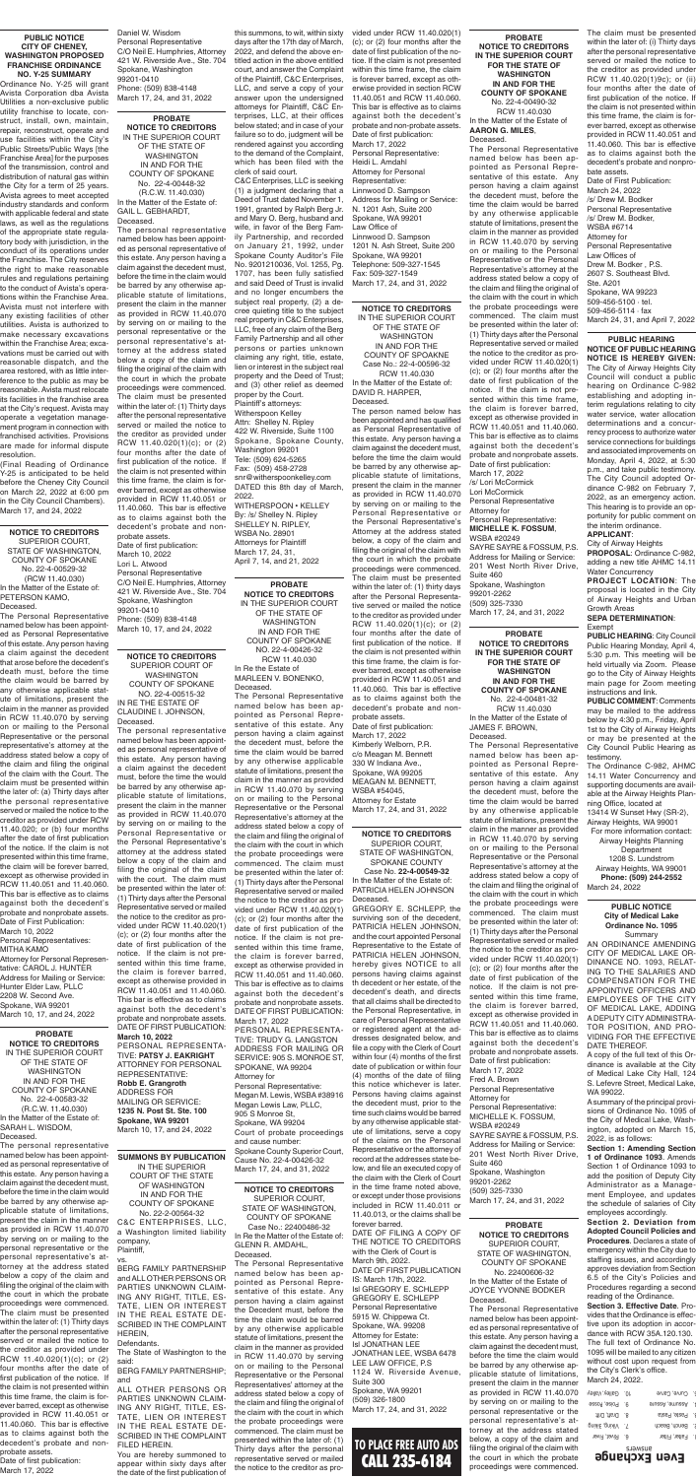**TO PLACE FREE AUTO ADS** CALL 235-6184

**PROBATE NOTICE TO CREDITORS** IN THE SUPERIOR COURT OF THE STATE OF WASHINGTON IN AND FOR THE COUNTY OF SPOKANE No. 22-4-00448-32 (R.C.W. 11.40.030) In the Matter of the Estate of: GAIL L. GEBHARDT,

Deceased. The personal representative named below has been appointed as personal representative of this estate. Any person having a claim against the decedent must, before the time in the claim would be barred by any otherwise applicable statute of limitations, present the claim in the manner as provided in RCW 11.40.070 by serving on or mailing to the personal representative or the personal representative's attorney at the address stated below a copy of the claim and filing the original of the claim with the court in which the probate proceedings were commenced. The claim must be presented within the later of: (1) Thirty days after the personal representative served or mailed the notice to the creditor as provided under RCW 11.40.020(1)(c); or (2) four months after the date of first publication of the notice. If the claim is not presented within this time frame, the claim is forever barred, except as otherwise provided in RCW 11.40.051 or 11.40.060. This bar is effective as to claims against both the decedent's probate and nonprobate assets. Date of first publication: March 10, 2022 Lori L. Atwood Personal Representative C/O Neil E. Humphries, Attorney 421 W. Riverside Ave., Ste. 704 Spokane, Washington 99201-0410 Phone: (509) 838-4148 March 10, 17, and 24, 2022

**NOTICE TO CREDITORS** SUPERIOR COURT, STATE OF WASHINGTON, COUNTY OF SPOKANE No. 22-4-00529-32 (RCW 11.40.030) In the Matter of the Estate of: PETERSON KAMO, Deceased.

The Personal Representative named below has been appointed as Personal Representative of this estate. Any person having a claim against the decedent that arose before the decedent's death must, before the time the claim would be barred by any otherwise applicable statute of limitations, present the claim in the manner as provided in RCW 11.40.070 by serving on or mailing to the Personal Representative or the personal representative's attorney at the address stated below a copy of the claim and filing the original of the claim with the Court. The claim must be presented within the later of: (a) Thirty days after the personal representative served or mailed the notice to the creditor as provided under RCW 11.40.020; or (b) four months after the date of first publication of the notice. If the claim is not presented within this time frame, the claim will be forever barred, except as otherwise provided in RCW 11.40.051 and 11.40.060. This bar is effective as to claims against both the decedent's probate and nonprobate assets. Date of First Publication: March 10, 2022 Personal Representatives: MITHA KAMO Attorney for Personal Representative: CAROL J. HUNTER Address for Mailing or Service: Hunter Elder Law, PLLC 2208 W. Second Ave. Spokane, WA 99201 March 10, 17, and 24, 2022

**NOTICE TO CREDITORS** SUPERIOR COURT OF WASHINGTON COUNTY OF SPOKANE NO. 22-4-00515-32 IN RE THE ESTATE OF CLAUDINE I. JOHNSON, Deceased.

The personal representative named below has been appointed as personal representative of this estate. Any person having a claim against the decedent must, before the time the would be barred by any otherwise applicable statute of limitations, present the claim in the manner as provided in RCW 11.40.070 by serving on or mailing to the Personal Representative or the Personal Representative's attorney at the address stated below a copy of the claim and filing the original of the claim with the court. The claim must be presented within the later of: (1) Thirty days after the Personal Representative served or mailed the notice to the creditor as provided under RCW 11.40.020(1) (c); or (2) four months after the date of first publication of the notice. If the claim is not presented within this time frame, the claim is forever barred, except as otherwise provided in RCW 11.40.051 and 11.40.060. This bar is effective as to claims against both the decedent's probate and nonprobate assets. DATE OF FIRST PUBLICATION: **March 10, 2022** PERSONAL REPRESENTA-TIVE: **PATSY J. EAKRIGHT** ATTORNEY FOR PERSONAL REPRESENTATIVE: **Robb E. Grangroth** ADDRESS FOR MAILING OR SERVICE: **1235 N. Post St. Ste. 100 Spokane, WA 99201** March 10, 17, and 24, 2022

#### **PUBLIC NOTICE CITY OF CHENEY, WASHINGTON PROPOSED FRANCHISE ORDINANCE NO. Y-25 SUMMARY**

Ordinance No. Y-25 will grant Avista Corporation dba Avista Utilities a non-exclusive public utility franchise to locate, construct, install, own, maintain, repair, reconstruct, operate and use facilities within the City's Public Streets/Public Ways [the Franchise Area] for the purposes of the transmission, control and distribution of natural gas within the City for a term of 25 years. Avista agrees to meet accepted industry standards and conform with applicable federal and state laws, as well as the regulations of the appropriate state regulatory body with jurisdiction, in the conduct of its operations under the Franchise. The City reserves the right to make reasonable rules and regulations pertaining to the conduct of Avista's operations within the Franchise Area. Avista must not interfere with any existing facilities of other utilities. Avista is authorized to make necessary excavations within the Franchise Area; excavations must be carried out with reasonable dispatch, and the area restored, with as little interference to the public as may be reasonable. Avista must relocate its facilities in the franchise area at the City's request. Avista may operate a vegetation management program in connection with franchised activities. Provisions are made for informal dispute resolution.

(Final Reading of Ordinance Y-25 is anticipated to be held before the Cheney City Council on March 22, 2022 at 6:00 pm in the City Council Chambers). March 17, and 24, 2022

> **PROBATE NOTICE TO CREDITORS** IN THE SUPERIOR COURT OF THE STATE OF WASHINGTON IN AND FOR THE COUNTY OF SPOKANE NO. 22-4-00426-32 RCW 11.40.030 In Re the Estate of MARLEEN V. BONENKO, Deceased.

The Personal Representative named below has been appointed as Personal Representative of this estate. Any person having a claim against the decedent must, before the time the claim would be barred by any otherwise applicable statute of limitations, present the claim in the manner as provided in RCW 11.40.070 by serving on or mailing to the Personal Representative or the Personal Representative's attorney at the address stated below a copy of the claim and filing the original of the claim with the court in which the probate proceedings were commenced. The claim must be presented within the later of: (1) Thirty days after the Personal Representative served or mailed the notice to the creditor as provided under RCW 11.40.020(1) (c); or (2) four months after the date of first publication of the notice. If the claim is not presented within this time frame, the claim is forever barred, except as otherwise provided in RCW 11.40.051 and 11.40.060. This bar is effective as to claims against both the decedent's probate and nonprobate assets. DATE OF FIRST PUBLICATION: March 17, 2022 PERSONAL REPRESENTA-TIVE: TRUDY G. LANGSTON ADDRESS FOR MAILING OR SERVICE: 905 S. MONROE ST, SPOKANE, WA 99204 Attorney for Personal Representative: Megan M. Lewis, WSBA #38916 Megan Lewis Law, PLLC, 905 S Monroe St, Spokane, WA 99204 Court of probate proceedings and cause number: Spokane County Superior Court, Cause No. 22-4-00426-32

March 17, 24, and 31, 2022

**PROBATE NOTICE TO CREDITORS** IN THE SUPERIOR COURT OF THE STATE OF WASHINGTON IN AND FOR THE COUNTY OF SPOKANE No. 22-4-00583-32 (R.C.W. 11.40.030) In the Matter of the Estate of: SARAH L. WISDOM, Deceased.

The personal representative named below has been appointed as personal representative of this estate. Any person having a claim against the decedent must, before the time in the claim would be barred by any otherwise applicable statute of limitations, present the claim in the manner as provided in RCW 11.40.070 by serving on or mailing to the personal representative or the personal representative's attorney at the address stated below a copy of the claim and filing the original of the claim with the court in which the probate proceedings were commenced. The claim must be presented within the later of: (1) Thirty days after the personal representative served or mailed the notice to the creditor as provided under RCW 11.40.020(1)(c); or (2) four months after the date of first publication of the notice. If the claim is not presented within this time frame, the claim is forever barred, except as otherwise provided in RCW 11.40.051 or 11.40.060. This bar is effective as to claims against both the decedent's probate and nonprobate assets.

Date of first publication: March 17, 2022

**NOTICE TO CREDITORS** SUPERIOR COURT, STATE OF WASHINGTON, COUNTY OF SPOKANE Case No.: 22400486-32 In Re the Matter of the Estate of: GLENN R. AMDAHL, Deceased.

The Personal Representative named below has been appointed as Personal Representative of this estate. Any person having a claim against the Decedent must, before the time the claim would be barred by any otherwise applicable statute of limitations, present the claim in the manner as provided in RCW 11.40.070 by serving on or mailing to the Personal Representative or the Personal Representatives' attorney at the address stated below a copy of the claim and filing the original of the claim with the court in which the probate proceedings were commenced. The claim must be presented within the later of: (1) Thirty days after the personal representative served or mailed the notice to the creditor as pro-

**SUMMONS BY PUBLICATION**

IN THE SUPERIOR COURT OF THE STATE OF WASHINGTON IN AND FOR THE COUNTY OF SPOKANE No. 22-2-00564-32 C&C ENTERPRISES, LLC, a Washington limited liability company, Plaintiff,

vs. BERG FAMILY PARTNERSHIP and ALL OTHER PERSONS OR PARTIES UNKNOWN CLAIM-ING ANY RIGHT, TITLE, ES-TATE, LIEN OR INTEREST IN THE REAL ESTATE DE-SCRIBED IN THE COMPLAINT HEREIN,

**Defendants** 

The State of Washington to the said:

BERG FAMILY PARTNERSHIP; and

ALL OTHER PERSONS OR PARTIES UNKNOWN CLAIM-ING ANY RIGHT, TITLE, ES-TATE, LIEN OR INTEREST IN THE REAL ESTATE DE-SCRIBED IN THE COMPLAINT FILED HEREIN.

You are hereby summoned to appear within sixty days after the date of the first publication of

No. 22-4-00481-32 RCW 11.40.030 In the Matter of the Estate of JAMES F. BROWN, Deceased.

> way Heights, WA 9 **Phone: (509) 244-2552** March 24, 2022

The Personal Representative named below has been appointed as Personal Representative of this estate. Any person having a claim against the decedent must, before the time the claim would be barred by any otherwise applicable statute of limitations, present the claim in the manner as provided in RCW 11.40.070 by serving on or mailing to the Personal Representative or the Personal Representative's attorney at the address stated below a copy of the claim and filing the original of the claim with the court in which the probate proceedings were commenced. The claim must be presented within the later of: (1) Thirty days after the Personal Representative served or mailed the notice to the creditor as provided under RCW 11.40.020(1) (c); or (2) four months after the date of first publication of the notice. If the claim is not presented within this time frame, the claim is forever barred, except as otherwise provided in RCW 11.40.051 and 11.40.060. This bar is effective as to claims against both the decedent's probate and nonprobate assets. Date of first publication: March 17, 2022 Fred A. Brown Personal Representative Attorney for Personal Representative: MICHELLE K. FOSSUM, WSBA #20249 SAYRE SAYRE & FOSSUM, P.S. Address for Mailing or Service: 201 West North River Drive, Suite 460 Spokane, Washington 99201-2262 (509) 325-7330

March 17, 24, and 31, 2022

**PROBATE NOTICE TO CREDITORS IN THE SUPERIOR COURT FOR THE STATE OF WASHINGTON IN AND FOR THE COUNTY OF SPOKANE** The Personal Representative named below has been appointed as Personal Representative of this estate. Any person having a claim against the decedent must, before the time the claim would be barred by any otherwise applicable statute of limitations, present the claim in the manner as provided in RCW 11.40.070 by serving on or mailing to the Personal Representative or the Personal Representative's attorney at the address stated below a copy of the claim and filing the original of the claim with the court in which the probate proceedings were commenced. The claim must be presented within the later of: (1) Thirty days after the Personal Representative served or mailed the notice to the creditor as provided under RCW 11.40.020(1) (c); or (2) four months after the date of first publication of the notice. If the claim is not presented within this time frame, the claim is forever barred, except as otherwise provided in RCW 11.40.051 and 11.40.060. This bar is effective as to claims against both the decedent's probate and nonprobate assets. Date of first publication: March 17, 2022 /s/ Lori McCormick Lori McCormick Personal Representative Attorney for Personal Representative: **MICHELLE K. FOSSUM**, WSBA #20249 SAYRE SAYRE & FOSSUM, P.S. Address for Mailing or Service: 201 West North River Drive, Suite 460 Spokane, Washington 99201-2262 (509) 325-7330 March 17, 24, and 31, 2022

**PROBATE NOTICE TO CREDITORS IN THE SUPERIOR COURT FOR THE STATE OF WASHINGTON IN AND FOR THE COUNTY OF SPOKANE** No. 22-4-00490-32 RCW 11.40.030 In the Matter of the Estate of **AARON G. MILES**,

Deceased.

**NOTICE TO CREDITORS** SUPERIOR COURT, STATE OF WASHINGTON,

SPOKANE COUNTY

Case No. **22-4-00549-32**

In the Matter of the Estate of: PATRICIA HELEN JOHNSON Deceased.

GREGORY E. SCHLEPP, the surviving son of the decedent, PATRICIA HELEN JOHNSON, and the court appointed Personal Representative to the Estate of PATRICIA HELEN JOHNSON, hereby gives NOTICE to all persons having claims against th decedent or her estate, of the decedent's death, and directs that all claims shall be directed to the Personal Representative, in care of Personal Representative or registered agent at the addresses designated below, and file a copy with the Clerk of Court within four (4) months of the first date of publication or within four (4) months of the date of filing this notice whichever is later. Persons having claims against the decedent must, prior to the time such claims would be barred by any otherwise applicable statute of limitations, serve a copy of the claims on the Personal Representative or the attorney of record at the addresses state below, and file an executed copy of the claim with the Clerk of Court in the time frame noted above, or except under those provisions included in RCW 11.40.011 or 11.40.013, or the claims shall be forever barred.

DATE OF FILING A COPY OF THE NOTICE TO CREDITORS with the Clerk of Court is March 9th, 2022. DATE OF FIRST PUBLICATION IS: March 17th, 2022. Isl GREGORY E. SCHLEPP GREGORY E. SCHLEPP Personal Representative 5915 W. Chippewa Ct. Spokane, WA. 99208 Attorney for Estate: Isl JONATHAN LEE JONATHAN LEE, WSBA 6478 LEE LAW OFFICE, P.S 1124 W. Riverside Avenue, Suite 300 Spokane, WA 99201 (509) 326-1800 March 17, 24, and 31, 2022

**NOTICE TO CREDITORS**

IN THE SUPERIOR COURT OF THE STATE OF WASHINGTON IN AND FOR THE COUNTY OF SPOAKNE Case No.: 22-4-00596-32 RCW 11.40.030 In the Matter of the Estate of: DAVID R. HARPER, Deceased.

The person named below has been appointed and has qualified as Personal Representative of this estate. Any person having a claim against the decedent must, before the time the claim would be barred by any otherwise applicable statute of limitations, present the claim in the manner as provided in RCW 11.40.070 by serving on or mailing to the Personal Representative or the Personal Representative's Attorney at the address stated below, a copy of the claim and filing the original of the claim with the court in which the probate proceedings were commenced. The claim must be presented within the later of: (1) thirty days after the Personal Representative served or mailed the notice to the creditor as provided under RCW 11.40.020(1)(c); or (2) four months after the date of first publication of the notice. If the claim is not presented within this time frame, the claim is forever barred, except as otherwise provided in RCW 11.40.051 and 11.40.060. This bar is effective as to claims against both the decedent's probate and nonprobate assets.

Date of first publication: March 17, 2022 Kimberly Welborn, P.R. c/o Meagan M. Bennett 330 W Indiana Ave., Spokane, WA 99205 MEAGAN M. BENNETT, WSBA #54045, Attorney for Estate March 17, 24, and 31, 2022

Daniel W. Wisdom Personal Representative C/O Neil E. Humphries, Attorney 421 W. Riverside Ave., Ste. 704 Spokane, Washington 99201-0410 Phone: (509) 838-4148 March 17, 24, and 31, 2022

this summons, to wit, within sixty days after the 17th day of March, 2022, and defend the above entitled action in the above entitled court, and answer the Complaint of the Plaintiff, C&C Enterprises, LLC, and serve a copy of your answer upon the undersigned attorneys for Plaintiff, C&C Enterprises, LLC, at their offices below stated; and in case of your failure so to do, judgment will be rendered against you according to the demand of the Complaint, which has been filed with the clerk of said court.

C&C Enterprises, LLC is seeking (1) a judgment declaring that a Deed of Trust dated November 1, 1991, granted by Ralph Berg Jr. and Mary O. Berg, husband and wife, in favor of the Berg Family Partnership, and recorded on January 21, 1992, under Spokane County Auditor's File No. 9201210036, Vol. 1255, Pg. 1707, has been fully satisfied and said Deed of Trust is invalid and no longer encumbers the subject real property, (2) a decree quieting title to the subject real property in C&C Enterprises, LLC, free of any claim of the Berg Family Partnership and all other persons or parties unknown claiming any right, title, estate, lien or interest in the subject real property and the Deed of Trust; and (3) other relief as deemed proper by the Court. Plaintiff's attorneys: Witherspoon Kelley Attn: Shelley N. Ripley 422 W. Riverside, Suite 1100 Spokane, Spokane County, Washington 99201 Tele: (509) 624-5265 Fax: (509) 458-2728 snr@witherspoonkelley.com DATED this 8th day of March, 2022. WITHERSPOON • KELLEY By: /s/ Shelley N. Ripley SHELLEY N. RIPLEY, WSBA No. 28901 Attorneys for Plaintiff March 17, 24, 31, April 7, 14, and 21, 2022

vided under RCW 11.40.020(1) (c); or (2) four months after the date of first publication of the notice. If the claim is not presented within this time frame, the claim is forever barred, except as otherwise provided in section RCW 11.40.051 and RCW 11.40.060. This bar is effective as to claims against both the decedent's probate and non-probate assets. Date of first publication: March 17, 2022 Personal Representative: Heidi L. Amdahl Attorney for Personal Representative: Linnwood D. Sampson Address for Mailing or Service: N. 1201 Ash, Suite 200 Spokane, WA 99201 Law Office of Linnwood D. Sampson 1201 N. Ash Street, Suite 200 Spokane, WA 99201 Telephone: 509-327-1545 Fax: 509-327-1549 March 17, 24, and 31, 2022

#### **PUBLIC NOTICE City of Medical Lake Ordinance No. 1095** Summary

AN ORDINANCE AMENDING CITY OF MEDICAL LAKE OR-DINANCE NO. 1093, RELAT-ING TO THE SALARIES AND COMPENSATION FOR THE APPOINTIVE OFFICERS AND EMPLOYEES OF THE CITY OF MEDICAL LAKE, ADDING A DEPUTY CITY ADMINISTRA-TOR POSITION, AND PRO-VIDING FOR THE EFFECTIVE DATE THEREOF.

A copy of the full text of this Ordinance is available at the City of Medical Lake City Hall, 124 S. Lefevre Street, Medical Lake, WA 99022.

A summary of the principal provisions of Ordinance No. 1095 of the City of Medical Lake, Washington, adopted on March 15, 2022, is as follows:

**Section 1: Amending Section 1 of Ordinance 1093**. Amends Section 1 of Ordinance 1093 to add the position of Deputy City Administrator as a Management Employee, and updates the schedule of salaries of City employees accordingly.

**Section 2. Deviation from Adopted Council Policies and Procedures**. Declares a state of emergency within the City due to staffing issues, and accordingly approves deviation from Section 6.5 of the City's Policies and Procedures regarding a second reading of the Ordinance.

**Section 3. Effective Date**. Provides that the Ordinance is effective upon its adoption in accordance with RCW 35A.120.130. The full text of Ordinance No. 1095 will be mailed to any citizen without cost upon request from the City's Clerk's office. March 24, 2022.

| 10. Galley, Valley | Curve, Carve     |  |
|--------------------|------------------|--|
| 9. Poise, Posse    | 9 Assume, Assure |  |
| find thend 9       | Paste, Pasta     |  |
| 7. Viking, Biking  | Bench, Beach     |  |
| 6. Rivet, River    | Falter, Filter   |  |
|                    |                  |  |



**PUBLIC HEARING NOTICE OF PUBLIC HEARING NOTICE IS HEREBY GIVEN:**  The City of Airway Heights City Council will conduct a public hearing on Ordinance C-982 establishing and adopting interim regulations relating to city water service, water allocation determinations and a concurrency process to authorize water service connections for buildings and associated improvements on Monday, April 4, 2022, at 5:30 p.m., and take public testimony. The City Council adopted Ordinance C-982 on February 7, 2022, as an emergency action. This hearing is to provide an opportunity for public comment on the interim ordinance.

**APPLICANT**:

City of Airway Heights **PROPOSAL**: Ordinance C-982, adding a new title AHMC 14.11 Water Concurrency

**PROJECT LOCATION**: The proposal is located in the City of Airway Heights and Urban Growth Areas

**SEPA DETERMINATION**: Exempt

**PUBLIC HEARING**: City Council Public Hearing Monday, April 4, 5:30 p.m. This meeting will be held virtually via Zoom. Please go to the City of Airway Heights main page for Zoom meeting instructions and link.

**PUBLIC COMMENT**: Comments may be mailed to the address below by 4:30 p.m., Friday, April 1st to the City of Airway Heights or may be presented at the City Council Public Hearing as testimony.

The Ordinance C-982, AHMC 14.11 Water Concurrency and supporting documents are available at the Airway Heights Planning Office, located at

13414 W Sunset Hwy (SR-2), Airway Heights, WA 99001 For more information contact:

Airway Heights Planning Department 1208 S. Lundstrom

**PROBATE NOTICE TO CREDITORS** SUPERIOR COURT, STATE OF WASHINGTON, COUNTY OF SPOKANE No. 22400606-32 In the Matter of the Estate of JOYCE YVONNE BODKER

Deceased. The Personal Representative named below has been appointed as personal representative of this estate. Any person having a claim against the decedent must, before the time the claim would be barred by any otherwise applicable statute of limitations, present the claim in the manner as provided in RCW 11.40.070 by serving on or mailing to the personal representative or the personal representative's attorney at the address stated below, a copy of the claim and filing the original of the claim with the court in which the probate proceedings were commenced.

The claim must be presented within the later of: (i) Thirty days after the personal representative served or mailed the notice to the creditor as provided under RCW 11.40.020(1)9c); or (ii) four months after the date of first publication of the notice. If the claim is not presented within this time frame, the claim is forever barred, except as otherwise provided in RCW 11.40.051 and 11.40.060. This bar is effective as to claims against both the decedent's probate and nonprobate assets.

Date of First Publication: March 24, 2022 /s/ Drew M. Bodker Personal Representative /s/ Drew M. Bodker, WSBA #6714 Attorney for Personal Representative Law Offices of Drew M. Bodker , P.S. 2607 S. Southeast Blvd. Ste. A201 Spokane, WA 99223 509-456-5100 · tel. 509-456-5114 · fax March 24, 31, and April 7, 2022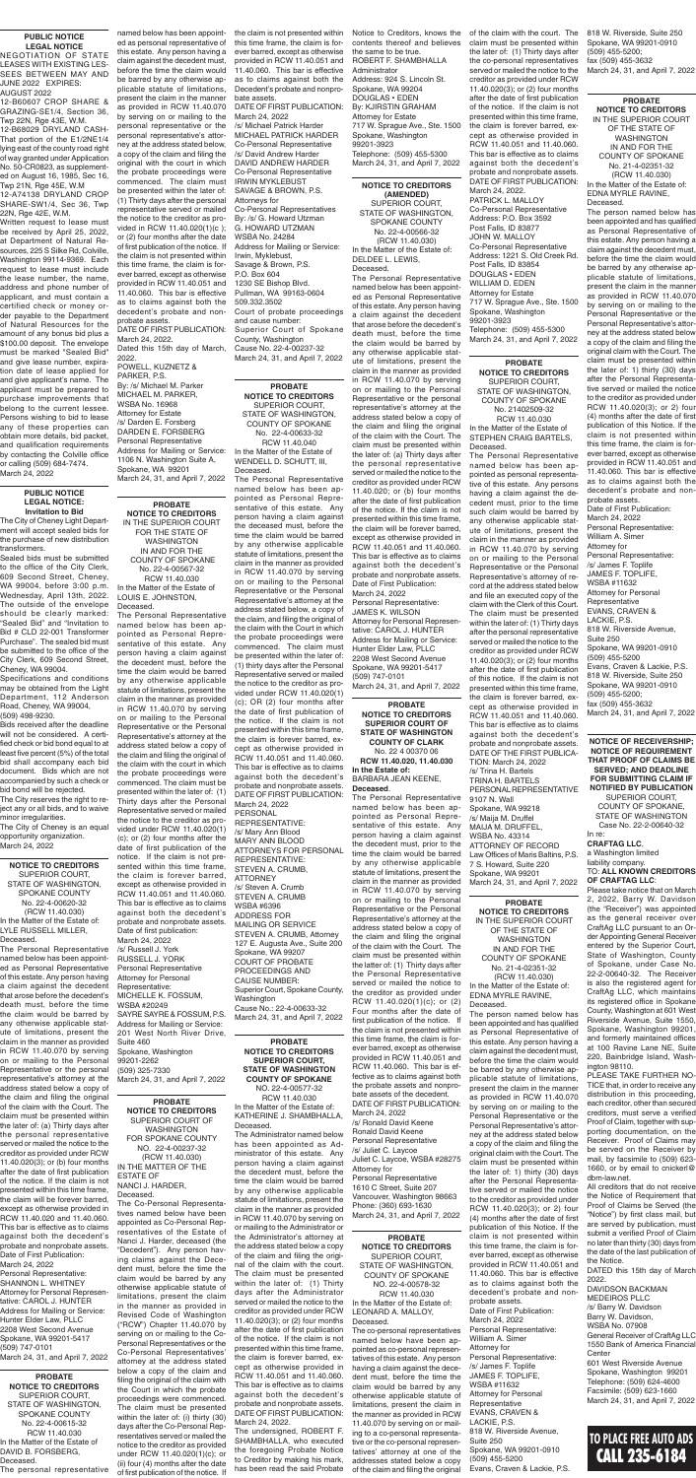## **TO PLACE FREE AUTO ADS** CALL 235-6184

**PROBATE NOTICE TO CREDITORS SUPERIOR COURT OF STATE OF WASHINGTON COUNTY OF CLARK** No. 22 4 00370 06

**RCW 11.40.020, 11.40.030 In the Estate of:** BARBARA JEAN KEENE, **Deceased**.

The Personal Representative named below has been appointed as Personal Representative of this estate. Any person having a claim against the decedent must, prior to the time the claim would be barred by any otherwise applicable statute of limitations, present the claim in the manner as provided in RCW 11.40.070 by serving on or mailing to the Personal Representative or the Personal Representative's attorney at the address stated below a copy of the claim and filing the original of the claim with the Court. The claim must be presented within the latter of: (1) Thirty days after the Personal Representative served or mailed the notice to the creditor as provided under RCW 11.40.020(1)(c); or (2) Four months after the date of first publication of the notice. If the claim is not presented within this time frame, the claim is forever barred, except as otherwise provided in RCW 11.40.051 and RCW 11.40.060. This bar is effective as to claims against both the probate assets and nonprobate assets of the decedent. DATE OF FIRST PUBLICATION: March 24, 2022 /s/ Ronald David Keene Ronald David Keene Personal Representative /s/ Juliet C. Laycoe Juliet C. Laycoe, WSBA #28275 Attorney for Personal Representative 1610 C Street, Suite 207 Vancouver, Washington 98663 Phone: (360) 693-1630

March 24, 31, and April 7, 2022

**PROBATE NOTICE TO CREDITORS** SUPERIOR COURT, STATE OF WASHINGTON,

COUNTY OF SPOKANE No. 21402509-32 RCW 11.40.030 In the Matter of the Estate of STEPHEN CRAIG BARTELS, Deceased.

The Personal Representative named below has been appointed as personal representative of this estate. Any persons having a claim against the decedent must, prior to the time such claim would be barred by any otherwise applicable statute of limitations, present the claim in the manner as provided in RCW 11.40.070 by serving on or mailing to the Personal Representative or the Personal Representative's attorney of record at the address stated below and file an executed copy of the claim with the Clerk of this Court. The claim must be presented within the later of: (1) Thirty days after the personal representative served or mailed the notice to the creditor as provided under RCW 11.40.020(3); or (2) four months after the date of first publication of this notice. If the claim is not presented within this time frame, the claim is forever barred, except as otherwise provided in RCW 11.40.051 and 11.40.060. This bar is effective as to claims against both the decedent's probate and nonprobate assets. DATE OF THE FIRST PUBLICA-TION: March 24, 2022 /s/ Trina H. Bartels TRINA H. BARTELS PERSONAL REPRESENTATIVE 9107 N. Wall Spokane, WA 99218 /s/ Maija M. Druffel MAIJA M. DRUFFEL, WSBA No. 43314 ATTORNEY OF RECORD Law Offices of Maris Baltins, P.S. 7 S. Howard, Suite 220 Spokane, WA 99201 March 24, 31, and April 7, 2022

#### **PROBATE**

**NOTICE TO CREDITORS** SUPERIOR COURT, STATE OF WASHINGTON, COUNTY OF SPOKANE NO. 22-4-00578-32 RCW 11.40.030 In the Matter of the Estate of: LEONARD A. MALLOY,

Deceased.

The co-personal representatives named below have been appointed as co-personal representatives of this estate. Any person having a claim against the decedent must, before the time the claim would be barred by any otherwise applicable statute of limitations, present the claim in the manner as provided in RCW 11.40.070 by serving on or mailing to a co-personal representative or the co-personal representatives' attorney at one of the addresses stated below a copy of the claim and filing the original

#### **PROBATE NOTICE TO CREDITORS SUPERIOR COURT, STATE OF WASHINGTON COUNTY OF SPOKANE**

NO. 22-4-00577-32 RCW 11.40.030 In the Matter of the Estate of: KATHERINE J. SHAMBHALLA, Deceased.

The Administrator named below has been appointed as Administrator of this estate. Any person having a claim against the decedent must, before the time the claim would be barred by any otherwise applicable statute of limitations, present the claim in the manner as provided in RCW 11.40.070 by serving on or mailing to the Administrator or the Administrator's attorney at the address stated below a copy of the claim and filing the original of the claim with the court. The claim must be presented within the later of: (1) Thirty days after the Administrator served or mailed the notice to the creditor as provided under RCW 11.40.020(3); or (2) four months after the date of first publication of the notice. If the claim is not presented within this time frame, the claim is forever barred, except as otherwise provided in RCW 11.40.051 and 11.40.060. This bar is effective as to claims against both the decedent's probate and nonprobate assets. DATE OF FIRST PUBLICATION: March 24, 2022.

The undersigned, ROBERT F. SHAMBHALLA, who executed the foregoing Probate Notice to Creditor by making his mark, has been read the said Probate

**PROBATE NOTICE TO CREDITORS** SUPERIOR COURT OF WASHINGTON FOR SPOKANE COUNTY NO. 22-4-00237-32 (RCW 11.40.030) IN THE MATTER OF THE ESTATE OF NANCI J. HARDER, Deceased.

The Co-Personal Representatives named below have been appointed as Co-Personal Representatives of the Estate of Nanci J. Harder, deceased (the "Decedent"). Any person having claims against the Decedent must, before the time the claim would be barred by any otherwise applicable statute of limitations, present the claim in the manner as provided in Revised Code of Washington ("RCW") Chapter 11.40.070 by serving on or mailing to the Co-Personal Representatives or the Co-Personal Representatives' attorney at the address stated below a copy of the claim and filing the original of the claim with the Court in which the probate proceedings were commenced. The claim must be presented within the later of: (i) thirty (30) days after the Co-Personal Representatives served or mailed the notice to the creditor as provided under RCW 11.40.020(1)(c); or (ii) four (4) months after the date of first publication of the notice. If

Deceased.

The Personal Representative named below has been appointed as Personal Representative of this estate. Any person having a claim against the decedent that arose before the decedent's death must, before the time the claim would be barred by any otherwise applicable statute of limitations, present the claim in the manner as provided in RCW 11.40.070 by serving on or mailing to the Personal Representative or the personal representative's attorney at the address stated below a copy of the claim and filing the original of the claim with the Court. The claim must be presented within the later of: (a) Thirty days after the personal representative served or mailed the notice to the creditor as provided under RCW 11.40.020; or (b) four months after the date of first publication of the notice. If the claim is not presented within this time frame, the claim will be forever barred, except as otherwise provided in RCW 11.40.051 and 11.40.060. This bar is effective as to claims against both the decedent's probate and nonprobate assets. Date of First Publication:

March 24, 2022 Personal Representative: JAMES K. WILSON Attorney for Personal Representative: CAROL J. HUNTER Address for Mailing or Service: Hunter Elder Law, PLLC 2208 West Second Avenue Spokane, WA 99201-5417 (509) 747-0101 March 24, 31, and April 7, 2022

**PROBATE NOTICE TO CREDITORS** SUPERIOR COURT, STATE OF WASHINGTON, COUNTY OF SPOKANE No. 22-4-00633-32 RCW 11.40.040 In the Matter of the Estate of WENDELL D. SCHUTT, III, Deceased.

The Personal Representative named below has been appointed as Personal Representative of this estate. Any person having a claim against the deceased must, before the time the claim would be barred by any otherwise applicable statute of limitations, present the claim in the manner as provided in RCW 11.40.070 by serving on or mailing to the Personal Representative or the Personal Representative's attorney at the address stated below, a copy of the claim, and filing the original of the claim with the Court in which the probate proceedings were commenced. The claim must be presented within the later of: (1) thirty days after the Personal Representative served or mailed the notice to the creditor as provided under RCW 11.40.020(1) (c); OR (2) four months after the date of first publication of the notice. If the claim is not presented within this time frame, the claim is forever barred, except as otherwise provided in RCW 11.40.051 and 11.40.060. This bar is effective as to claims against both the decedent's probate and nonprobate assets. DATE OF FIRST PUBLICATION: March 24, 2022 PERSONAL REPRESENTATIVE: /s/ Mary Ann Blood MARY ANN BLOOD

ATTORNEYS FOR PERSONAL

REPRESENTATIVE:

STEVEN A. CRUMB, ATTORNEY /s/ Steven A. Crumb STEVEN A. CRUMB WSBA #6396 ADDRESS FOR MAILING OR SERVICE STEVEN A. CRUMB, Attorney 127 E. Augusta Ave., Suite 200 Spokane, WA 99207 COURT OF PROBATE PROCEEDINGS AND CAUSE NUMBER: Superior Court, Spokane County, **Washington** Cause No.: 22-4-00633-32 March 24, 31, and April 7, 2022

**PROBATE NOTICE TO CREDITORS** SUPERIOR COURT, STATE OF WASHINGTON, SPOKANE COUNTY No. 22-4-00615-32 RCW 11.40.030 In the Matter of the Estate of DAVID B. FORSBERG, Deceased. The personal representative

**NOTICE TO CREDITORS**

SUPERIOR COURT, STATE OF WASHINGTON, SPOKANE COUNTY No. 22-4-00620-32 (RCW 11.40.030) In the Matter of the Estate of: LYLE RUSSELL MILLER, Deceased.

The Personal Representative named below has been appointed as Personal Representative of this estate. Any person having a claim against the decedent that arose before the decedent's death must, before the time the claim would be barred by any otherwise applicable statute of limitations, present the claim in the manner as provided in RCW 11.40.070 by serving on or mailing to the Personal Representative or the personal representative's attorney at the address stated below a copy of the claim and filing the original of the claim with the Court. The claim must be presented within the later of: (a) Thirty days after the personal representative served or mailed the notice to the creditor as provided under RCW 11.40.020(3); or (b) four months after the date of first publication of the notice. If the claim is not presented within this time frame, the claim will be forever barred, except as otherwise provided in RCW 11.40.020 and 11.40.060. This bar is effective as to claims against both the decedent's probate and nonprobate assets. Date of First Publication:

March 24, 2022 Personal Representative: SHANNON L. WHITNEY Attorney for Personal Representative: CAROL J. HUNTER Address for Mailing or Service: Hunter Elder Law, PLLC 2208 West Second Avenue Spokane, WA 99201-5417 (509) 747-0101 March 24, 31, and April 7, 2022

#### **PROBATE NOTICE TO CREDITORS** IN THE SUPERIOR COURT

FOR THE STATE OF WASHINGTON IN AND FOR THE COUNTY OF SPOKANE No. 22-4-00567-32 RCW 11.40.030 In the Matter of the Estate of

LOUIS E. JOHNSTON, Deceased.

The Personal Representative named below has been appointed as Personal Representative of this estate. Any person having a claim against the decedent must, before the time the claim would be barred by any otherwise applicable statute of limitations, present the claim in the manner as provided in RCW 11.40.070 by serving on or mailing to the Personal Representative or the Personal Representative's attorney at the address stated below a copy of the claim and filing the original of the claim with the court in which the probate proceedings were commenced. The claim must be presented within the later of: (1) Thirty days after the Personal Representative served or mailed the notice to the creditor as provided under RCW 11.40.020(1) (c); or (2) four months after the date of first publication of the notice. If the claim is not presented within this time frame, the claim is forever barred, except as otherwise provided in RCW 11.40.051 and 11.40.060. This bar is effective as to claims against both the decedent's probate and nonprobate assets. Date of first publication: March 24, 2022 /s/ Russell J. York RUSSELL J. YORK Personal Representative Attorney for Personal Representative: MICHELLE K. FOSSUM, WSBA #20249 SAYRE SAYRE & FOSSUM, P.S. Address for Mailing or Service: 201 West North River Drive, Suite 460 Spokane, Washington 99201-2262 (509) 325-7330 March 24, 31, and April 7, 2022

#### **PUBLIC NOTICE LEGAL NOTICE: Invitation to Bid**

The City of Cheney Light Department will accept sealed bids for the purchase of new distribution transformers.

Sealed bids must be submitted to the office of the City Clerk, 609 Second Street, Cheney, WA 99004, before 3:00 p.m. Wednesday, April 13th, 2022. The outside of the envelope should be clearly marked: "Sealed Bid" and "Invitation to Bid # CLD 22-001 Transformer Purchase". The sealed bid must be submitted to the office of the City Clerk, 609 Second Street, Cheney, WA 99004.

Specifications and conditions may be obtained from the Light Department, 112 Anderson Road, Cheney, WA 99004, (509) 498-9230.

Bids received after the deadline will not be considered. A certified check or bid bond equal to at least five percent (5%) of the total bid shall accompany each bid document. Bids which are not accompanied by such a check or bid bond will be rejected.

The City reserves the right to reject any or all bids, and to waive minor irregularities. The City of Cheney is an equal

opportunity organization. March 24, 2022

#### **PUBLIC NOTICE LEGAL NOTICE**

NEGOTIATION OF STATE LEASES WITH EXISTING LES-SEES BETWEEN MAY AND JUNE 2022 EXPIRES: AUGUST 2022

12-B60607 CROP SHARE & GRAZING-SE1/4, Section 36, Twp 22N, Rge 43E, W.M.

12-B68029 DRYLAND CASH-That portion of the E1/2NE1/4 lying east of the county road right of way granted under Application No. 50-CR0823, as supplemented on August 16, 1985, Sec 16,

Twp 21N, Rge 45E, W.M 12-A74138 DRYLAND CROP SHARE-SW1/4, Sec 36, Twp 22N, Rge 42E, W.M.

**NOTICE TO CREDITORS (AMENDED)** SUPERIOR COURT, STATE OF WASHINGTON, SPOKANE COUNTY No. 22-4-00566-32 (RCW 11.40.030) In the Matter of the Estate of: DELDEE L. LEWIS, March 24, 31, and April 7, 2022

Written request to lease must be received by April 25, 2022, at Department of Natural Resources, 225 S Silke Rd, Colville, Washington 99114-9369. Each request to lease must include the lease number, the name, address and phone number of applicant, and must contain a certified check or money order payable to the Department of Natural Resources for the amount of any bonus bid plus a \$100.00 deposit. The envelope must be marked "Sealed Bid" and give lease number, expiration date of lease applied for and give applicant's name. The applicant must be prepared to purchase improvements that belong to the current lessee. Persons wishing to bid to lease any of these properties can obtain more details, bid packet, and qualification requirements by contacting the Colville office or calling (509) 684-7474. March 24, 2022

> **NOTICE OF RECEIVERSHIP; NOTICE OF REQUIREMENT THAT PROOF OF CLAIMS BE SERVED; AND DEADLINE FOR SUBMITTING CLAIM IF NOTIFIED BY PUBLICATION** SUPERIOR COURT, COUNTY OF SPOKANE, STATE OF WASHINGTON Case No. 22-2-00640-32 In re:

**CRAFTAG LLC**, a Washington limited liability company.

#### TO: **ALL KNOWN CREDITORS OF CRAFTAG LLC**:

Please take notice that on March 2, 2022, Barry W. Davidson (the "Receiver") was appointed as the general receiver over CraftAg LLC pursuant to an Order Appointing General Receiver entered by the Superior Court, State of Washington, County of Spokane, under Case No. 22-2-00640-32. The Receiver is also the registered agent for CraftAg LLC, which maintains its registered office in Spokane County, Washington at 601 West Riverside Avenue, Suite 1550, Spokane, Washington 99201, and formerly maintained offices at 100 Ravine Lane NE, Suite 220, Bainbridge Island, Washington 98110.

PLEASE TAKE FURTHER NO-TICE that, in order to receive any distribution in this proceeding, each creditor, other than secured creditors, must serve a verified Proof of Claim, together with supporting documentation, on the Receiver. Proof of Claims may be served on the Receiver by mail, by facsimile to (509) 623- 1660, or by email to cnickerl@ dbm-law.net.

All creditors that do not receive the Notice of Requirement that Proof of Claims be Served (the "Notice") by first class mail, but are served by publication, must submit a verified Proof of Claim no later than thirty (30) days from the date of the last publication of the Notice.

DATED this 15th day of March 2022.

DAVIDSON BACKMAN MEDEIROS PLLC /s/ Barry W. Davidson Barry W. Davidson, WSBA No. 07908 General Receiver of CraftAg LLC 1550 Bank of America Financial Center 601 West Riverside Avenue Spokane, Washington 99201 Telephone: (509) 624-4600 Facsimile: (509) 623-1660 March 24, 31, and April 7, 2022

**PROBATE NOTICE TO CREDITORS** IN THE SUPERIOR COURT OF THE STATE OF WASHINGTON IN AND FOR THE COUNTY OF SPOKANE No. 21-4-02351-32 (RCW 11.40.030) In the Matter of the Estate of: EDNA MYRLE RAVINE, Deceased.

The person named below has been appointed and has qualified as Personal Representative of this estate. Any person having a claim against the decedent must, before the time the claim would be barred by any otherwise applicable statute of limitations, present the claim in the manner as provided in RCW 11.40.070 by serving on or mailing to the Personal Representative or the Personal Representative's attorney at the address stated below a copy of the claim and filing the original claim with the Court. The claim must be presented within the later of: 1) thirty (30) days after the Personal Representative served or mailed the notice to the creditor as provided under RCW 11.40.020(3); or 2) four (4) months after the date of first publication of this Notice. If the claim is not presented within this time frame, the claim is forever barred, except as otherwise provided in RCW 11.40.051 and 11.40.060. This bar is effective as to claims against both the decedent's probate and nonprobate assets. Date of First Publication: March 24, 2022 Personal Representative: William A. Simer Attorney for Personal Representative: /s/ James F. Toplife JAMES F. TOPLIFE, WSBA #11632 Attorney for Personal **Representative** EVANS, CRAVEN & LACKIE, P.S. 818 W. Riverside Avenue, Suite 250 Spokane, WA 99201-0910 (509) 455-5200 Evans, Craven & Lackie, P.S.

#### **PROBATE**

**NOTICE TO CREDITORS** IN THE SUPERIOR COURT OF THE STATE OF WASHINGTON IN AND FOR THE COUNTY OF SPOKANE No. 21-4-02351-32 (RCW 11.40.030) In the Matter of the Estate of: EDNA MYRLE RAVINE, Deceased.

The person named below has been appointed and has qualified as Personal Representative of this estate. Any person having a claim against the decedent must, before the time the claim would be barred by any otherwise applicable statute of limitations, present the claim in the manner as provided in RCW 11.40.070 by serving on or mailing to the Personal Representative or the Personal Representative's attorney at the address stated below a copy of the claim and filing the original claim with the Court. The claim must be presented within the later of: 1) thirty (30) days after the Personal Representative served or mailed the notice to the creditor as provided under RCW 11.40.020(3); or 2) four (4) months after the date of first publication of this Notice. If the claim is not presented within this time frame, the claim is forever barred, except as otherwise provided in RCW 11.40.051 and 11.40.060. This bar is effective as to claims against both the decedent's probate and nonprobate assets.

Date of First Publication: March 24, 2022 Personal Representative: William A. Simer Attorney for Personal Representative: /s/ James F. Toplife JAMES F. TOPLIFE, WSBA #11632 Attorney for Personal Representative EVANS, CRAVEN & LACKIE, P.S. 818 W. Riverside Avenue, Suite 250 Spokane, WA 99201-0910 (509) 455-5200 Evans, Craven & Lackie, P.S. 818 W. Riverside, Suite 250 Spokane, WA 99201-0910 (509) 455-5200; fax (509) 455-3632 March 24, 31, and April 7, 2022

named below has been appointed as personal representative of this estate. Any person having a claim against the decedent must, before the time the claim would be barred by any otherwise applicable statute of limitations, present the claim in the manner as provided in RCW 11.40.070 by serving on or mailing to the personal representative or the personal representative's attorney at the address stated below, a copy of the claim and filing the original with the court in which the probate proceedings were commenced. The claim must be presented within the later of: (1) Thirty days after the personal representative served or mailed the notice to the creditor as provided in RCW 11.40.020(1)(c ); or (2) four months after the date of first publication of the notice. If the claim is not presented within this time frame, the claim is forever barred, except as otherwise provided in RCW 11.40.051 and 11.40.060. This bar is effective as to claims against both the decedent's probate and nonprobate assets.

DATE OF FIRST PUBLICATION: March 24, 2022. Dated this 15th day of March,

2022. POWELL, KUZNETZ & PARKER, P.S. By: /s/ Michael M. Parker MICHAEL M. PARKER, WSBA No. 16968 Attorney for Estate /s/ Darden E. Forsberg DARDEN E. FORSBERG Personal Representative Address for Mailing or Service: 1106 N. Washington Suite A, Spokane, WA 99201 March 24, 31, and April 7, 2022

the claim is not presented within Notice to Creditors, knows the this time frame, the claim is forever barred, except as otherwise provided in RCW 11.40.051 and 11.40.060. This bar is effective as to claims against both the Decedent's probate and nonprobate assets.

DATE OF FIRST PUBLICATION: March 24, 2022 /s/ Michael Patrick Harder MICHAEL PATRICK HARDER Co-Personal Representative /s/ David Andrew Harder DAVID ANDREW HARDER Co-Personal Representative IRWIN MYKLEBUST SAVAGE & BROWN, P.S. Attorneys for Co-Personal Representatives By: /s/ G. Howard Utzman G. HOWARD UTZMAN WSBA No. 24284 Address for Mailing or Service: Irwin, Myklebust, Savage & Brown, P.S. P.O. Box 604 1230 SE Bishop Blvd. Pullman, WA 99163-0604 509.332.3502 Court of probate proceedings and cause number: Superior Court of Spokane County, Washington Cause No. 22-4-00237-32 March 24, 31, and April 7, 2022

contents thereof and believes the same to be true. ROBERT F. SHAMBHALLA Administrator Address: 924 S. Lincoln St. Spokane, WA 99204 DOUGLAS • EDEN By: KJIRSTIN GRAHAM Attorney for Estate 717 W. Sprague Ave., Ste. 1500 Spokane, Washington 99201-3923

Telephone: (509) 455-5300

of the claim with the court. The 818 W. Riverside, Suite 250 claim must be presented within the later of: (1) Thirty days after the co-personal representatives served or mailed the notice to the creditor as provided under RCW 11.40.020(3); or (2) four months after the date of first publication of the notice. If the claim is not presented within this time frame, the claim is forever barred, except as otherwise provided in RCW 11.40.051 and 11.40.060. This bar is effective as to claims against both the decedent's probate and nonprobate assets. DATE OF FIRST PUBLICATION: March 24, 2022. PATRICK L. MALLOY Co-Personal Representative Address: P.O. Box 3592 Post Falls, ID 83877 JOHN W. MALLOY Co-Personal Representative Address: 1221 S. Old Creek Rd. Post Falls, ID 83854 DOUGLAS • EDEN WILLIAM D. EDEN Attorney for Estate 717 W. Sprague Ave., Ste. 1500 Spokane, Washington 99201-3923 Telephone: (509) 455-5300 March 24, 31, and April 7, 2022

Spokane, WA 99201-0910 (509) 455-5200; fax (509) 455-3632 March 24, 31, and April 7, 2022